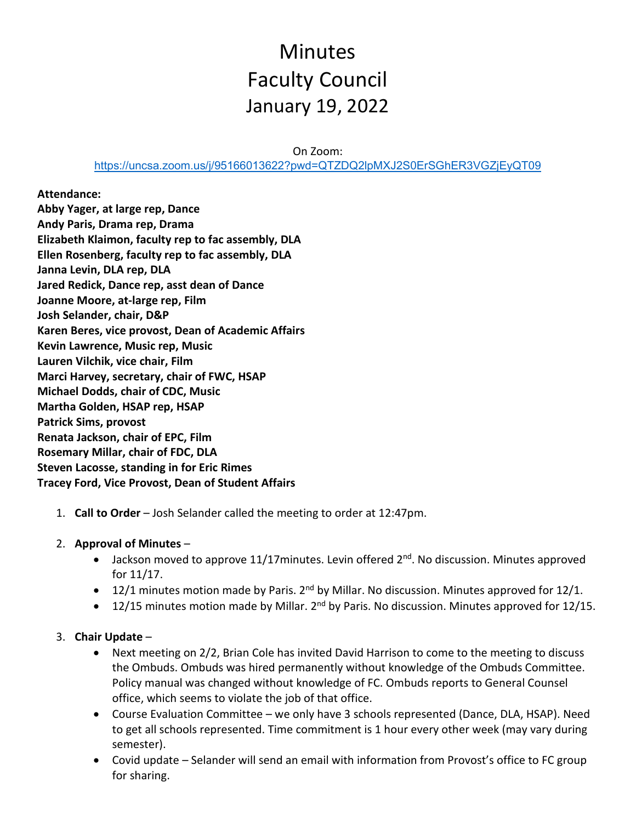# Minutes Faculty Council January 19, 2022

On Zoom:

<https://uncsa.zoom.us/j/95166013622?pwd=QTZDQ2lpMXJ2S0ErSGhER3VGZjEyQT09>

**Attendance: Abby Yager, at large rep, Dance Andy Paris, Drama rep, Drama Elizabeth Klaimon, faculty rep to fac assembly, DLA Ellen Rosenberg, faculty rep to fac assembly, DLA Janna Levin, DLA rep, DLA Jared Redick, Dance rep, asst dean of Dance Joanne Moore, at-large rep, Film Josh Selander, chair, D&P Karen Beres, vice provost, Dean of Academic Affairs Kevin Lawrence, Music rep, Music Lauren Vilchik, vice chair, Film Marci Harvey, secretary, chair of FWC, HSAP Michael Dodds, chair of CDC, Music Martha Golden, HSAP rep, HSAP Patrick Sims, provost Renata Jackson, chair of EPC, Film Rosemary Millar, chair of FDC, DLA Steven Lacosse, standing in for Eric Rimes Tracey Ford, Vice Provost, Dean of Student Affairs**

- 1. **Call to Order** Josh Selander called the meeting to order at 12:47pm.
- 2. **Approval of Minutes**
	- Jackson moved to approve 11/17 minutes. Levin offered  $2^{nd}$ . No discussion. Minutes approved for 11/17.
	- 12/1 minutes motion made by Paris.  $2^{nd}$  by Millar. No discussion. Minutes approved for 12/1.
	- 12/15 minutes motion made by Millar.  $2^{nd}$  by Paris. No discussion. Minutes approved for 12/15.

#### 3. **Chair Update** –

- Next meeting on 2/2, Brian Cole has invited David Harrison to come to the meeting to discuss the Ombuds. Ombuds was hired permanently without knowledge of the Ombuds Committee. Policy manual was changed without knowledge of FC. Ombuds reports to General Counsel office, which seems to violate the job of that office.
- Course Evaluation Committee we only have 3 schools represented (Dance, DLA, HSAP). Need to get all schools represented. Time commitment is 1 hour every other week (may vary during semester).
- Covid update Selander will send an email with information from Provost's office to FC group for sharing.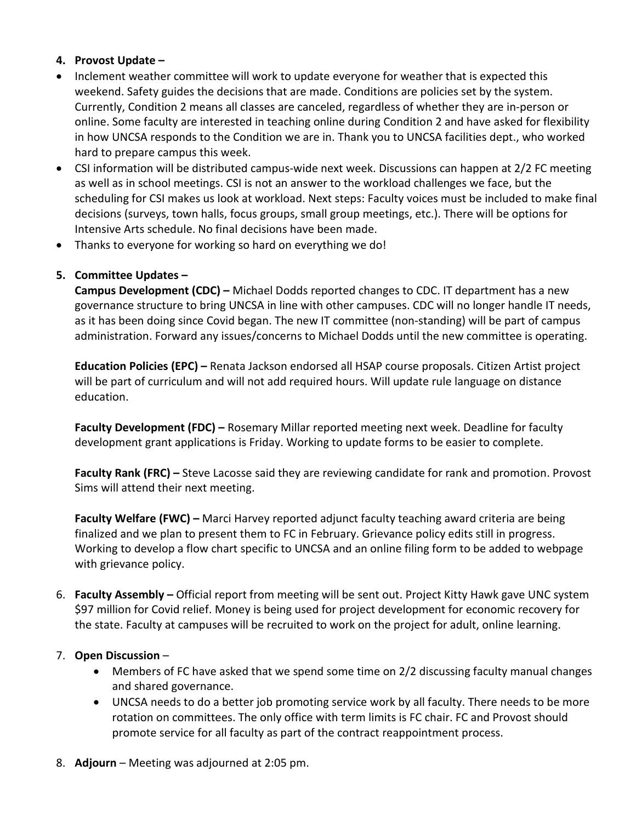#### **4. Provost Update –**

- Inclement weather committee will work to update everyone for weather that is expected this weekend. Safety guides the decisions that are made. Conditions are policies set by the system. Currently, Condition 2 means all classes are canceled, regardless of whether they are in-person or online. Some faculty are interested in teaching online during Condition 2 and have asked for flexibility in how UNCSA responds to the Condition we are in. Thank you to UNCSA facilities dept., who worked hard to prepare campus this week.
- CSI information will be distributed campus-wide next week. Discussions can happen at 2/2 FC meeting as well as in school meetings. CSI is not an answer to the workload challenges we face, but the scheduling for CSI makes us look at workload. Next steps: Faculty voices must be included to make final decisions (surveys, town halls, focus groups, small group meetings, etc.). There will be options for Intensive Arts schedule. No final decisions have been made.
- Thanks to everyone for working so hard on everything we do!

### **5. Committee Updates –**

**Campus Development (CDC) –** Michael Dodds reported changes to CDC. IT department has a new governance structure to bring UNCSA in line with other campuses. CDC will no longer handle IT needs, as it has been doing since Covid began. The new IT committee (non-standing) will be part of campus administration. Forward any issues/concerns to Michael Dodds until the new committee is operating.

**Education Policies (EPC) –** Renata Jackson endorsed all HSAP course proposals. Citizen Artist project will be part of curriculum and will not add required hours. Will update rule language on distance education.

**Faculty Development (FDC) –** Rosemary Millar reported meeting next week. Deadline for faculty development grant applications is Friday. Working to update forms to be easier to complete.

**Faculty Rank (FRC) –** Steve Lacosse said they are reviewing candidate for rank and promotion. Provost Sims will attend their next meeting.

**Faculty Welfare (FWC) –** Marci Harvey reported adjunct faculty teaching award criteria are being finalized and we plan to present them to FC in February. Grievance policy edits still in progress. Working to develop a flow chart specific to UNCSA and an online filing form to be added to webpage with grievance policy.

6. **Faculty Assembly –** Official report from meeting will be sent out. Project Kitty Hawk gave UNC system \$97 million for Covid relief. Money is being used for project development for economic recovery for the state. Faculty at campuses will be recruited to work on the project for adult, online learning.

#### 7. **Open Discussion** –

- Members of FC have asked that we spend some time on 2/2 discussing faculty manual changes and shared governance.
- UNCSA needs to do a better job promoting service work by all faculty. There needs to be more rotation on committees. The only office with term limits is FC chair. FC and Provost should promote service for all faculty as part of the contract reappointment process.
- 8. **Adjourn** Meeting was adjourned at 2:05 pm.